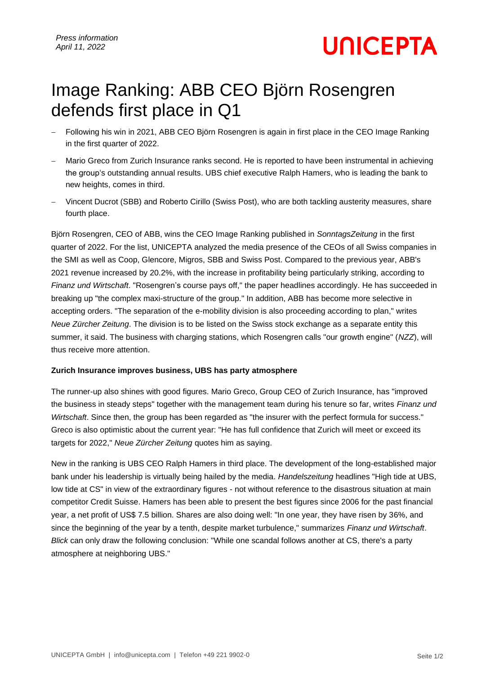# **UNICEPTA**

## Image Ranking: ABB CEO Björn Rosengren defends first place in Q1

- − Following his win in 2021, ABB CEO Björn Rosengren is again in first place in the CEO Image Ranking in the first quarter of 2022.
- Mario Greco from Zurich Insurance ranks second. He is reported to have been instrumental in achieving the group's outstanding annual results. UBS chief executive Ralph Hamers, who is leading the bank to new heights, comes in third.
- − Vincent Ducrot (SBB) and Roberto Cirillo (Swiss Post), who are both tackling austerity measures, share fourth place.

Björn Rosengren, CEO of ABB, wins the CEO Image Ranking published in *SonntagsZeitung* in the first quarter of 2022. For the list, UNICEPTA analyzed the media presence of the CEOs of all Swiss companies in the SMI as well as Coop, Glencore, Migros, SBB and Swiss Post. Compared to the previous year, ABB's 2021 revenue increased by 20.2%, with the increase in profitability being particularly striking, according to *Finanz und Wirtschaft*. "Rosengren's course pays off," the paper headlines accordingly. He has succeeded in breaking up "the complex maxi-structure of the group." In addition, ABB has become more selective in accepting orders. "The separation of the e-mobility division is also proceeding according to plan," writes *Neue Zürcher Zeitung*. The division is to be listed on the Swiss stock exchange as a separate entity this summer, it said. The business with charging stations, which Rosengren calls "our growth engine" (*NZZ*), will thus receive more attention.

### **Zurich Insurance improves business, UBS has party atmosphere**

The runner-up also shines with good figures. Mario Greco, Group CEO of Zurich Insurance, has "improved the business in steady steps" together with the management team during his tenure so far, writes *Finanz und Wirtschaft*. Since then, the group has been regarded as "the insurer with the perfect formula for success." Greco is also optimistic about the current year: "He has full confidence that Zurich will meet or exceed its targets for 2022," *Neue Zürcher Zeitung* quotes him as saying.

New in the ranking is UBS CEO Ralph Hamers in third place. The development of the long-established major bank under his leadership is virtually being hailed by the media. *Handelszeitung* headlines "High tide at UBS, low tide at CS" in view of the extraordinary figures - not without reference to the disastrous situation at main competitor Credit Suisse. Hamers has been able to present the best figures since 2006 for the past financial year, a net profit of US\$ 7.5 billion. Shares are also doing well: "In one year, they have risen by 36%, and since the beginning of the year by a tenth, despite market turbulence," summarizes *Finanz und Wirtschaft*. *Blick* can only draw the following conclusion: "While one scandal follows another at CS, there's a party atmosphere at neighboring UBS."